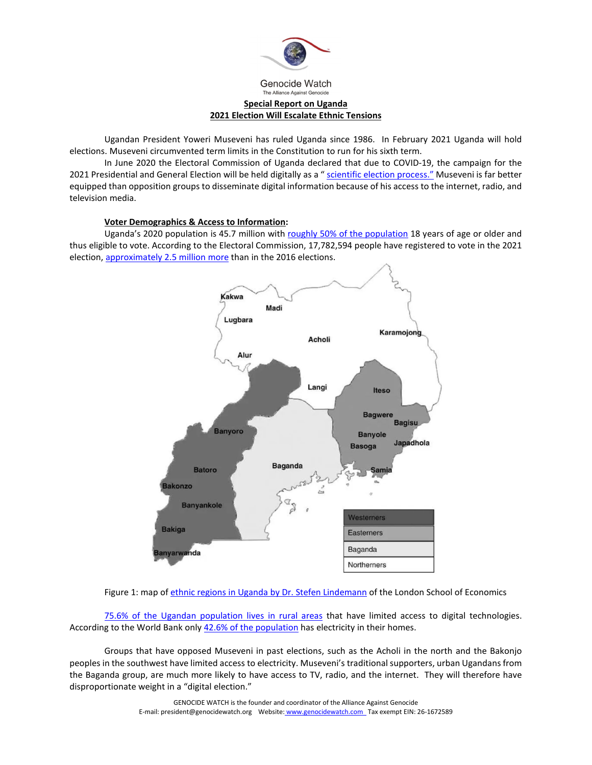

Genocide Watch The Alliance Against Genocid

# **Special Report on Uganda 2021 Election Will Escalate Ethnic Tensions**

Ugandan President Yoweri Museveni has ruled Uganda since 1986. In February 2021 Uganda will hold elections. Museveni circumvented term limits in the Constitution to run for his sixth term.

In June 2020 the Electoral Commission of Uganda declared that due to COVID-19, the campaign for the 2021 Presidential and General Election will be held digitally as a " [scientific election process.](https://theugandanwire.com/2020/06/16/uganda-2021-presidential-election-to-be-conducted-online-full-roadmap-inside/)" Museveni is far better equipped than opposition groups to disseminate digital information because of his access to the internet, radio, and television media.

### **Voter Demographics & Access to Information:**

Uganda's 2020 population is 45.7 million wit[h roughly 50% of the population](https://www.unfpa.org/data/world-population/UG) 18 years of age or older and thus eligible to vote. According to the Electoral Commission, 17,782,594 people have registered to vote in the 2021 election[, approximately 2.5 million more](https://www.monitor.co.ug/News/National/We-can-t-reopen-voter-registration-EC-boss/688334-5477230-1285xb7/index.html) than in the 2016 elections.



Figure 1: map o[f ethnic regions in Uganda by Dr. Stefen Lindemann](https://blogs.lse.ac.uk/africaatlse/2011/09/19/new-lse-research-increased-territorial-power-sharing-in-museveni%E2%80%99s-uganda-has-led-to-the-decline-of-civil-wars/) of the London School of Economics

[75.6% of the Ugandan population lives in rural areas](https://tradingeconomics.com/uganda/rural-population-percent-of-total-population-wb-data.html) that have limited access to digital technologies. According to the World Bank only [42.6% of the population](https://data.worldbank.org/indicator/EG.ELC.ACCS.ZS) has electricity in their homes.

Groups that have opposed Museveni in past elections, such as the Acholi in the north and the Bakonjo peoples in the southwest have limited access to electricity. Museveni's traditional supporters, urban Ugandans from the Baganda group, are much more likely to have access to TV, radio, and the internet. They will therefore have disproportionate weight in a "digital election."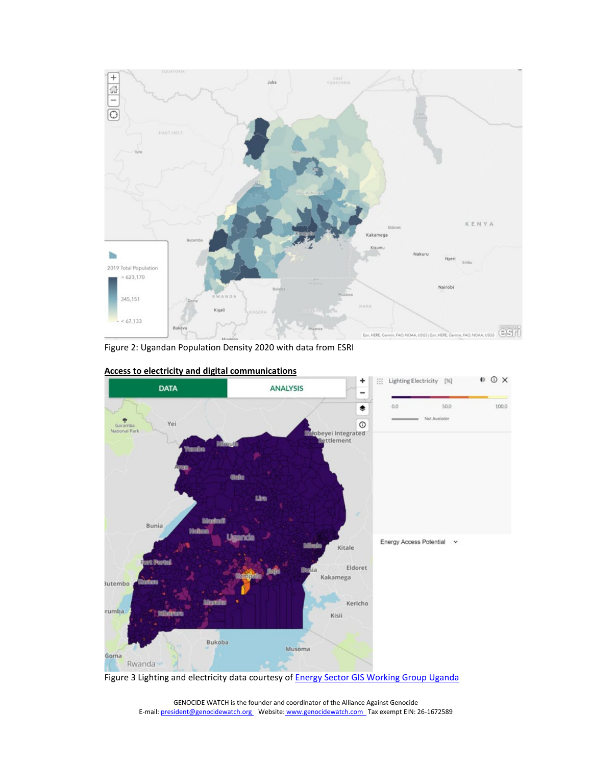

Figure 2: Ugandan Population Density 2020 with data from ESRI



**Access to electricity and digital communications**

Figure 3 Lighting and electricity data courtesy of **Energy Sector GIS Working Group Uganda**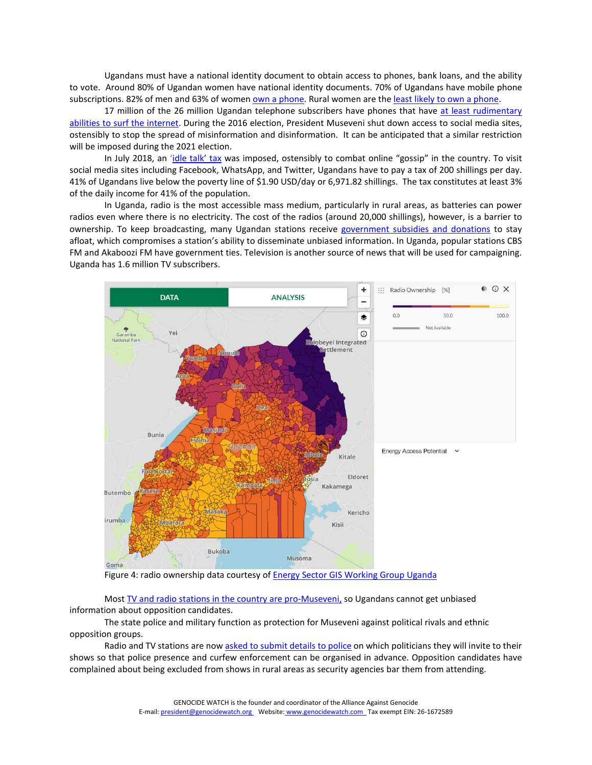Ugandans must have a national identity document to obtain access to phones, bank loans, and the ability to vote. Around 80% of Ugandan women have national identity documents. 70% of Ugandans have mobile phone subscriptions. 82% of men and 63% of wome[n own a phone.](https://www.gsma.com/mobilefordevelopment/wp-content/uploads/2019/02/Digital-Identity-Country-Report-Uganda.pdf) Rural women are the [least likely to own a phone.](https://www.gsma.com/mobilefordevelopment/wp-content/uploads/2019/02/Digital-Identity-Country-Report-Uganda.pdf)

17 million of the 26 million Ugandan telephone subscribers have phones that have at least rudimentary [abilities to surf the internet.](https://www.independent.co.ug/2021-elections-how-practical-are-scientific-campaigns-for-uganda/) During the 2016 election, President Museveni shut down access to social media sites, ostensibly to stop the spread of misinformation and disinformation. It can be anticipated that a similar restriction will be imposed during the 2021 election.

In July 2018, an ['idle talk' tax](https://www.theguardian.com/global-development/2019/feb/27/millions-of-ugandans-quit-internet-after-introduction-of-social-media-tax-free-speech) was imposed, ostensibly to combat online "gossip" in the country. To visit social media sites including Facebook, WhatsApp, and Twitter, Ugandans have to pay a tax of 200 shillings per day. 41% of Ugandans live below the poverty line of \$1.90 USD/day or 6,971.82 shillings. The tax constitutes at least 3% of the daily income for 41% of the population.

In Uganda, radio is the most accessible mass medium, particularly in rural areas, as batteries can power radios even where there is no electricity. The cost of the radios (around 20,000 shillings), however, is a barrier to ownership. To keep broadcasting, many Ugandan stations receive [government subsidies and donations](https://www.cima.ned.org/publication/local-radio-stations-in-africa-sustainability-or-pragmatic-viability/) to stay afloat, which compromises a station's ability to disseminate unbiased information. In Uganda, popular stations CBS FM and Akaboozi FM have government ties. Television is another source of news that will be used for campaigning. Uganda has 1.6 million TV subscribers.



Figure 4: radio ownership data courtesy of **Energy Sector GIS Working Group Uganda** 

Mos[t TV and radio stations in the country are pro-Museveni,](https://www.reuters.com/article/uganda-politics-idUSL8N2EE4Q8) so Ugandans cannot get unbiased information about opposition candidates.

The state police and military function as protection for Museveni against political rivals and ethnic opposition groups.

Radio and TV stations are now [asked to submit details to police](https://www.rfi.fr/en/africa/20200806-ugandan-police-vet-presidential-debates-deter-crowds-media-bobi-wine-museveni-2021-election) on which politicians they will invite to their shows so that police presence and curfew enforcement can be organised in advance. Opposition candidates have complained about being excluded from shows in rural areas as security agencies bar them from attending.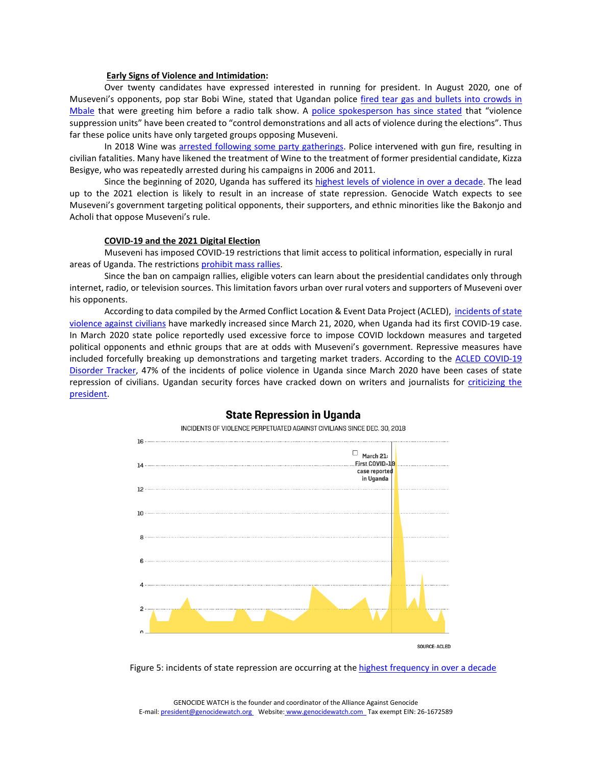### **Early Signs of Violence and Intimidation:**

Over twenty candidates have expressed interested in running for president. In August 2020, one of Museveni's opponents, pop star Bobi Wine, stated that Ugandan police [fired tear gas and bullets into crowds in](https://www.rfi.fr/en/africa/20200806-ugandan-police-vet-presidential-debates-deter-crowds-media-bobi-wine-museveni-2021-election)  [Mbale](https://www.rfi.fr/en/africa/20200806-ugandan-police-vet-presidential-debates-deter-crowds-media-bobi-wine-museveni-2021-election) that were greeting him before a radio talk show. A [police spokesperson has since stated](https://www.rfi.fr/en/africa/20200806-ugandan-police-vet-presidential-debates-deter-crowds-media-bobi-wine-museveni-2021-election) that "violence suppression units" have been created to "control demonstrations and all acts of violence during the elections". Thus far these police units have only targeted groups opposing Museveni.

In 2018 Wine was [arrested following some party gatherings.](https://acleddata.com/2018/09/07/opposition-mp-bobi-wine-arrest-sparks-demonstrations-across-uganda/) Police intervened with gun fire, resulting in civilian fatalities. Many have likened the treatment of Wine to the treatment of former presidential candidate, Kizza Besigye, who was repeatedly arrested during his campaigns in 2006 and 2011.

Since the beginning of 2020, Uganda has suffered its [highest levels of violence in over a decade.](https://acleddata.com/2020/05/07/cdt-spotlight-state-force-in-uganda/) The lead up to the 2021 election is likely to result in an increase of state repression. Genocide Watch expects to see Museveni's government targeting political opponents, their supporters, and ethnic minorities like the Bakonjo and Acholi that oppose Museveni's rule.

### **COVID-19 and the 2021 Digital Election**

Museveni has imposed COVID-19 restrictions that limit access to political information, especially in rural areas of Uganda. The restrictions [prohibit mass rallies.](https://af.reuters.com/article/topNews/idAFKBN23N252-OZATP)

Since the ban on campaign rallies, eligible voters can learn about the presidential candidates only through internet, radio, or television sources. This limitation favors urban over rural voters and supporters of Museveni over his opponents.

According to data compiled by the Armed Conflict Location & Event Data Project (ACLED), incidents of state [violence against civilians](https://foreignpolicy.com/2020/07/21/how-the-coronavirus-crisis-is-silencing-dissent-and-sparking-repression/) have markedly increased since March 21, 2020, when Uganda had its first COVID-19 case. In March 2020 state police reportedly used excessive force to impose COVID lockdown measures and targeted political opponents and ethnic groups that are at odds with Museveni's government. Repressive measures have included forcefully breaking up demonstrations and targeting market traders. According to the ACLED COVID-19 [Disorder Tracker,](https://acleddata.com/2020/05/07/cdt-spotlight-state-force-in-uganda/) 47% of the incidents of police violence in Uganda since March 2020 have been cases of state repression of civilians. Ugandan security forces have cracked down on writers and journalists for [criticizing the](https://www.reuters.com/article/uganda-politics-idUSL8N2EE4Q8)  [president.](https://www.reuters.com/article/uganda-politics-idUSL8N2EE4Q8)



## **State Repression in Uganda**

INCIDENTS OF VIOLENCE PERPETUATED AGAINST CIVILIANS SINCE DEC. 30, 2018

Figure 5: incidents of state repression are occurring at th[e highest frequency in over a decade](https://foreignpolicy.com/2020/07/21/how-the-coronavirus-crisis-is-silencing-dissent-and-sparking-repression/)